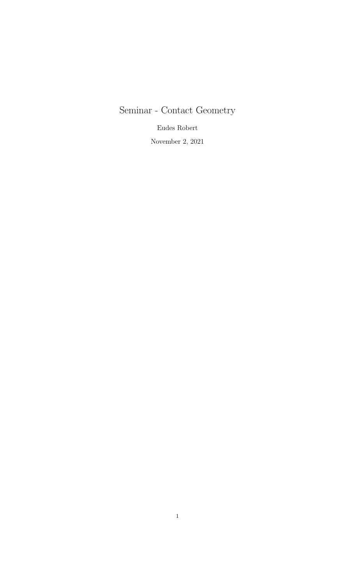## Seminar - Contact Geometry

Eudes Robert

November 2, 2021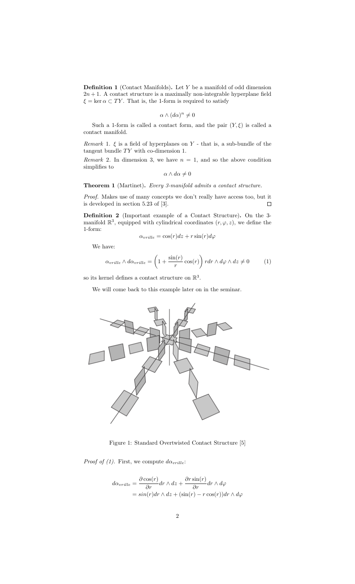**Definition 1** (Contact Manifolds). Let  $Y$  be a manifold of odd dimension  $2n + 1$ . A contact structure is a maximally non-integrable hyperplane field  $\xi = \ker \alpha \subset TY$ . That is, the 1-form is required to satisfy

$$
\alpha \wedge (d\alpha)^n \neq 0
$$

Such a 1-form is called a contact form, and the pair  $(Y, \xi)$  is called a contact manifold.

Remark 1.  $\xi$  is a field of hyperplanes on Y - that is, a sub-bundle of the tangent bundle  $TY$  with co-dimension 1.

Remark 2. In dimension 3, we have  $n = 1$ , and so the above condition simplifies to

$$
\alpha \wedge d\alpha \neq 0
$$

Theorem 1 (Martinet). Every 3-manifold admits a contact structure.

Proof. Makes use of many concepts we don't really have access too, but it is developed in section 5.23 of [3].  $\Box$ 

Definition 2 (Important example of a Contact Structure). On the 3 manifold  $\mathbb{R}^3$ , equipped with cylindrical coordinates  $(r, \varphi, z)$ , we define the 1-form:

$$
\alpha_{\text{v}rille} = \cos(r)dz + r\sin(r)d\varphi
$$

We have:

$$
\alpha_{\text{trille}} \wedge d\alpha_{\text{trille}} = \left(1 + \frac{\sin(r)}{r} \cos(r)\right) r dr \wedge d\varphi \wedge dz \neq 0 \tag{1}
$$

so its kernel defines a contact structure on  $\mathbb{R}^3$ .

We will come back to this example later on in the seminar.



Figure 1: Standard Overtwisted Contact Structure [5]

*Proof of (1)*. First, we compute  $d\alpha_{\text{trille}}$ :

$$
d\alpha_{\text{trille}} = \frac{\partial \cos(r)}{\partial r} dr \wedge dz + \frac{\partial r \sin(r)}{\partial r} dr \wedge d\varphi
$$
  
=  $\sin(r) dr \wedge dz + (\sin(r) - r \cos(r)) dr \wedge d\varphi$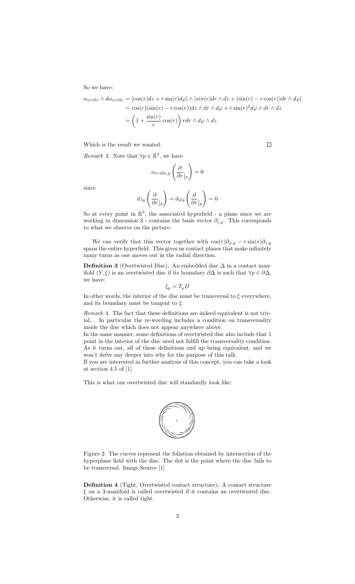So we have:

$$
\alpha_{\text{trille}} \wedge d\alpha_{\text{trille}} = [\cos(r)dz + r\sin(r)d\varphi] \wedge [sin(r)dr \wedge dz + (\sin(r) - r\cos(r))dr \wedge d\varphi]
$$
  
=  $\cos(r)(\sin(r) - r\cos(r))dz \wedge dr \wedge d\varphi + r\sin(r)^2 d\varphi \wedge dr \wedge dz$   
=  $\left(1 + \frac{\sin(r)}{r}\cos(r)\right) rdr \wedge d\varphi \wedge dz$ 

Which is the result we wanted.

*Remark* 3. Note that  $\forall p \in \mathbb{R}^3$ , we have

$$
\alpha_{\text{trille},p} \left( \frac{\partial}{\partial r} \Big|_p \right) = 0
$$

since

$$
dz_p\left(\frac{\partial}{\partial r}\Big|_p\right)=d\varphi_p\left(\frac{\partial}{\partial r}\Big|_p\right)=0
$$

So at every point in  $\mathbb{R}^3$ , the associated hyperfield - a plane since we are working in dimension 3 - contains the basis vector  $\partial_{r,p}$ . This corresponds to what we observe on the picture.

We can verify that this vector together with  $\cos(r)\partial_{\varphi,p} - r\sin(r)\partial_{z,p}$ spans the entire hyperfield. This gives us contact planes that make infinitely many turns as one moves out in the radial direction.

**Definition 3** (Overtwisted Disc). An embedded disc  $\Delta$  in a contact manifold  $(Y, \xi)$  is an overtwisted disc if its boundary  $\partial \Delta$  is such that  $\forall p \in \partial \Delta$ , we have:

$$
\xi_p = T_p D
$$

In other words, the interior of the disc must be transversal to  $\xi$  everywhere, and its boundary must be tangent to  $\xi$ .

Remark 4. The fact that these definitions are indeed equivalent is not trivial... In particular the re-wording includes a condition on transversality inside the disc which does not appear anywhere above.

In the same manner, some definitions of overtwisted disc also include that 1 point in the interior of the disc need not fulfill the transversality condition. As it turns out, all of these definitions end up being equivalent, and we won't delve any deeper into why for the purpose of this talk.

If you are interested in further analysis of this concept, you can take a look at section 4.5 of [1].

This is what our overtwisted disc will standardly look like:



Figure 2: The curves represent the foliation obtained by intersection of the hyperplane field with the disc. The dot is the point where the disc fails to be transversal. Image Source [1]

Definition 4 (Tight, Overtwisted contact structure). A contact structure  $\xi$  on a 3-manifold is called overtwisted if it contains an overtwisted disc. Otherwise, it is called tight.

 $\Box$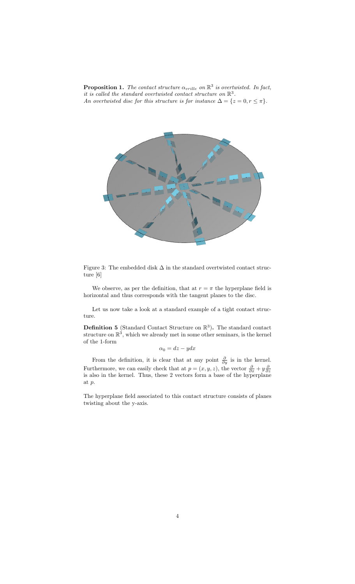**Proposition 1.** The contact structure  $\alpha_{\text{trille}}$  on  $\mathbb{R}^3$  is overtwisted. In fact, it is called the standard overtwisted contact structure on  $\mathbb{R}^3$ . An overtwisted disc for this structure is for instance  $\Delta = \{z = 0, r \leq \pi\}.$ 



Figure 3: The embedded disk  $\Delta$  in the standard overtwisted contact structure [6]

We observe, as per the definition, that at  $r = \pi$  the hyperplane field is horizontal and thus corresponds with the tangent planes to the disc.

Let us now take a look at a standard example of a tight contact structure.

**Definition 5** (Standard Contact Structure on  $\mathbb{R}^3$ ). The standard contact structure on  $\mathbb{R}^3$ , which we already met in some other seminars, is the kernel of the 1-form

 $\alpha_0 = dz - y dx$ 

From the definition, it is clear that at any point  $\frac{\partial}{\partial y}$  is in the kernel. Furthermore, we can easily check that at  $p = (x, y, z)$ , the vector  $\frac{\partial}{\partial x} + y \frac{\partial}{\partial z}$  is also in the kernel. Thus, these 2 vectors form a base of the hyperplane at p.

The hyperplane field associated to this contact structure consists of planes twisting about the y-axis.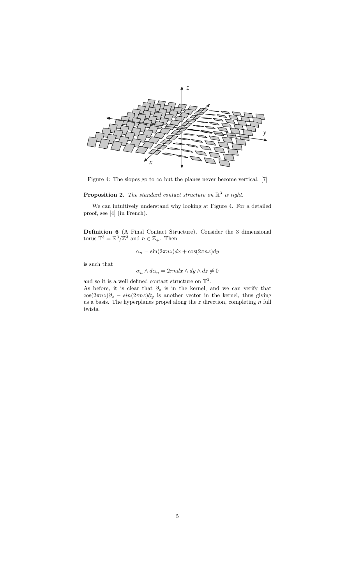

Figure 4: The slopes go to  $\infty$  but the planes never become vertical. [7]

## **Proposition 2.** The standard contact structure on  $\mathbb{R}^3$  is tight.

We can intuitively understand why looking at Figure 4. For a detailed proof, see [4] (in French).

Definition 6 (A Final Contact Structure). Consider the 3 dimensional torus  $\mathbb{T}^3 = \mathbb{R}^3 / \mathbb{Z}^3$  and  $n \in \mathbb{Z}_+$ . Then

$$
\alpha_n = \sin(2\pi nz)dx + \cos(2\pi nz)dy
$$

is such that

$$
\alpha_n \wedge d\alpha_n = 2\pi n dx \wedge dy \wedge dz \neq 0
$$

and so it is a well defined contact structure on  $\mathbb{T}^3$ . As before, it is clear that  $\partial_z$  is in the kernel, and we can verify that  $\cos(2\pi nz)\partial_x - \sin(2\pi nz)\partial_y$  is another vector in the kernel, thus giving us a basis. The hyperplanes propel along the  $z$  direction, completing  $\boldsymbol{n}$  full twists.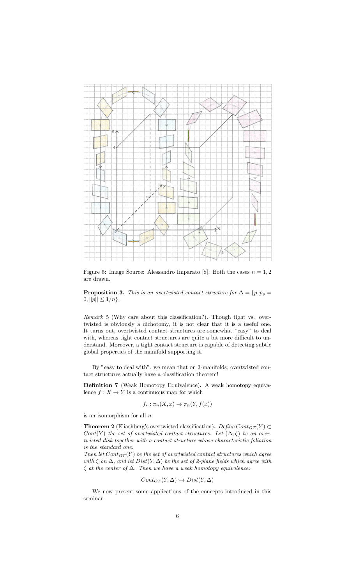

Figure 5: Image Source: Alessandro Imparato [8]. Both the cases  $n = 1, 2$ are drawn.

**Proposition 3.** This is an overtwisted contact structure for  $\Delta = \{p, p_y =$  $0, ||p|| \leq 1/n$ .

Remark 5 (Why care about this classification?). Though tight vs. overtwisted is obviously a dichotomy, it is not clear that it is a useful one. It turns out, overtwisted contact structures are somewhat "easy" to deal with, whereas tight contact structures are quite a bit more difficult to understand. Moreover, a tight contact structure is capable of detecting subtle global properties of the manifold supporting it.

By "easy to deal with", we mean that on 3-manifolds, overtwisted contact structures actually have a classification theorem!

Definition 7 (Weak Homotopy Equivalence). A weak homotopy equivalence  $f: X \to Y$  is a continuous map for which

$$
f_* : \pi_n(X, x) \to \pi_n(Y, f(x))
$$

is an isomorphism for all n.

**Theorem 2** (Eliashberg's overtwisted classification). Define  $Cont_{OT}(Y) \subset$ Cont(Y) the set of overtwisted contact structures. Let  $(\Delta, \zeta)$  be an overtwisted disk together with a contact structure whose characteristic foliation is the standard one.

Then let  $Cont_{OT}(Y)$  be the set of overtwisted contact structures which agree with  $\zeta$  on  $\Delta$ , and let  $Dist(Y, \Delta)$  be the set of 2-plane fields which agree with  $\zeta$  at the center of  $\Delta$ . Then we have a weak homotopy equivalence:

$$
Cont_{OT}(Y, \Delta) \hookrightarrow Dist(Y, \Delta)
$$

We now present some applications of the concepts introduced in this seminar.